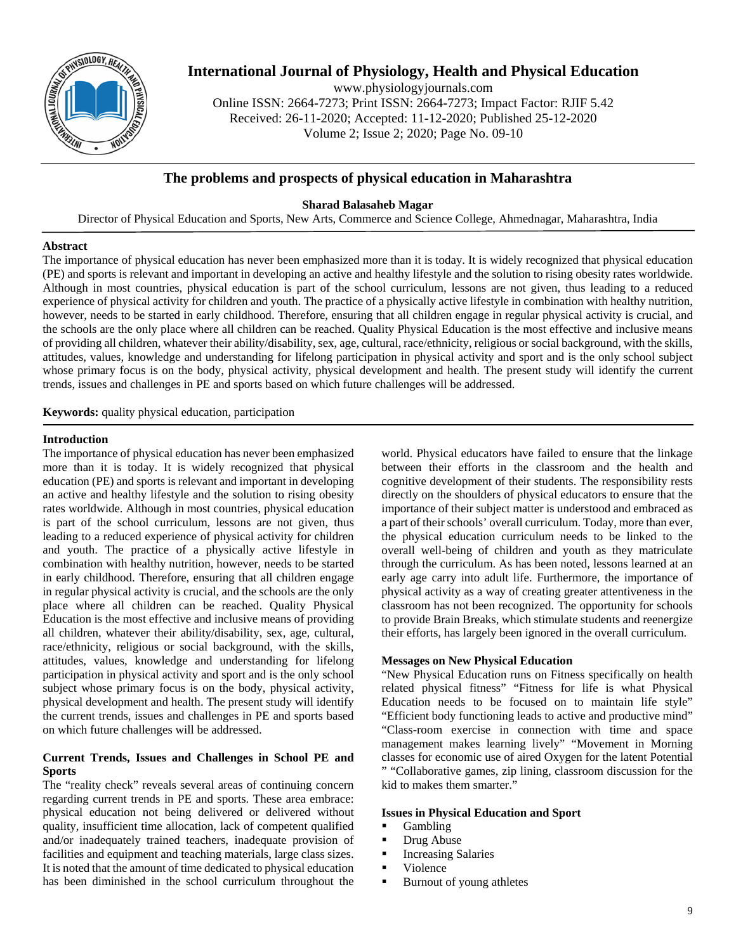

# **International Journal of Physiology, Health and Physical Education**

www.physiologyjournals.com Online ISSN: 2664-7273; Print ISSN: 2664-7273; Impact Factor: RJIF 5.42 Received: 26-11-2020; Accepted: 11-12-2020; Published 25-12-2020 Volume 2; Issue 2; 2020; Page No. 09-10

## **The problems and prospects of physical education in Maharashtra**

## **Sharad Balasaheb Magar**

Director of Physical Education and Sports, New Arts, Commerce and Science College, Ahmednagar, Maharashtra, India

## **Abstract**

The importance of physical education has never been emphasized more than it is today. It is widely recognized that physical education (PE) and sports is relevant and important in developing an active and healthy lifestyle and the solution to rising obesity rates worldwide. Although in most countries, physical education is part of the school curriculum, lessons are not given, thus leading to a reduced experience of physical activity for children and youth. The practice of a physically active lifestyle in combination with healthy nutrition, however, needs to be started in early childhood. Therefore, ensuring that all children engage in regular physical activity is crucial, and the schools are the only place where all children can be reached. Quality Physical Education is the most effective and inclusive means of providing all children, whatever their ability/disability, sex, age, cultural, race/ethnicity, religious or social background, with the skills, attitudes, values, knowledge and understanding for lifelong participation in physical activity and sport and is the only school subject whose primary focus is on the body, physical activity, physical development and health. The present study will identify the current trends, issues and challenges in PE and sports based on which future challenges will be addressed.

**Keywords:** quality physical education, participation

## **Introduction**

The importance of physical education has never been emphasized more than it is today. It is widely recognized that physical education (PE) and sports is relevant and important in developing an active and healthy lifestyle and the solution to rising obesity rates worldwide. Although in most countries, physical education is part of the school curriculum, lessons are not given, thus leading to a reduced experience of physical activity for children and youth. The practice of a physically active lifestyle in combination with healthy nutrition, however, needs to be started in early childhood. Therefore, ensuring that all children engage in regular physical activity is crucial, and the schools are the only place where all children can be reached. Quality Physical Education is the most effective and inclusive means of providing all children, whatever their ability/disability, sex, age, cultural, race/ethnicity, religious or social background, with the skills, attitudes, values, knowledge and understanding for lifelong participation in physical activity and sport and is the only school subject whose primary focus is on the body, physical activity, physical development and health. The present study will identify the current trends, issues and challenges in PE and sports based on which future challenges will be addressed.

## **Current Trends, Issues and Challenges in School PE and Sports**

The "reality check" reveals several areas of continuing concern regarding current trends in PE and sports. These area embrace: physical education not being delivered or delivered without quality, insufficient time allocation, lack of competent qualified and/or inadequately trained teachers, inadequate provision of facilities and equipment and teaching materials, large class sizes. It is noted that the amount of time dedicated to physical education has been diminished in the school curriculum throughout the

world. Physical educators have failed to ensure that the linkage between their efforts in the classroom and the health and cognitive development of their students. The responsibility rests directly on the shoulders of physical educators to ensure that the importance of their subject matter is understood and embraced as a part of their schools' overall curriculum. Today, more than ever, the physical education curriculum needs to be linked to the overall well-being of children and youth as they matriculate through the curriculum. As has been noted, lessons learned at an early age carry into adult life. Furthermore, the importance of physical activity as a way of creating greater attentiveness in the classroom has not been recognized. The opportunity for schools to provide Brain Breaks, which stimulate students and reenergize their efforts, has largely been ignored in the overall curriculum.

## **Messages on New Physical Education**

"New Physical Education runs on Fitness specifically on health related physical fitness" "Fitness for life is what Physical Education needs to be focused on to maintain life style" "Efficient body functioning leads to active and productive mind" "Class-room exercise in connection with time and space management makes learning lively" "Movement in Morning classes for economic use of aired Oxygen for the latent Potential " "Collaborative games, zip lining, classroom discussion for the kid to makes them smarter."

#### **Issues in Physical Education and Sport**

- Gambling
- Drug Abuse
- **Increasing Salaries**
- Violence
- Burnout of young athletes